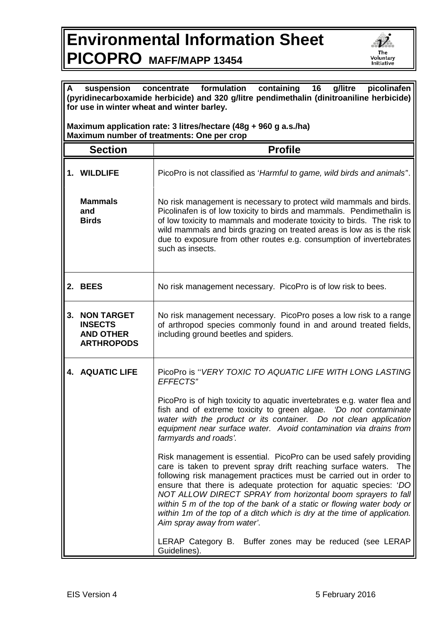## **Environmental Information Sheet PICOPRO MAFF/MAPP 13454**



| formulation<br>containing<br>16<br>g/litre<br>picolinafen<br>A<br>suspension<br>concentrate<br>(pyridinecarboxamide herbicide) and 320 g/litre pendimethalin (dinitroaniline herbicide)<br>for use in winter wheat and winter barley. |                                                                              |                                                                                                                                                                                                                                                                                                                                                                                                                                                                                                                                             |  |
|---------------------------------------------------------------------------------------------------------------------------------------------------------------------------------------------------------------------------------------|------------------------------------------------------------------------------|---------------------------------------------------------------------------------------------------------------------------------------------------------------------------------------------------------------------------------------------------------------------------------------------------------------------------------------------------------------------------------------------------------------------------------------------------------------------------------------------------------------------------------------------|--|
| Maximum application rate: 3 litres/hectare (48g + 960 g a.s./ha)<br>Maximum number of treatments: One per crop                                                                                                                        |                                                                              |                                                                                                                                                                                                                                                                                                                                                                                                                                                                                                                                             |  |
|                                                                                                                                                                                                                                       | <b>Section</b>                                                               | <b>Profile</b>                                                                                                                                                                                                                                                                                                                                                                                                                                                                                                                              |  |
|                                                                                                                                                                                                                                       | 1. WILDLIFE                                                                  | PicoPro is not classified as 'Harmful to game, wild birds and animals'.                                                                                                                                                                                                                                                                                                                                                                                                                                                                     |  |
|                                                                                                                                                                                                                                       | <b>Mammals</b><br>and<br><b>Birds</b>                                        | No risk management is necessary to protect wild mammals and birds.<br>Picolinafen is of low toxicity to birds and mammals. Pendimethalin is<br>of low toxicity to mammals and moderate toxicity to birds. The risk to<br>wild mammals and birds grazing on treated areas is low as is the risk<br>due to exposure from other routes e.g. consumption of invertebrates<br>such as insects.                                                                                                                                                   |  |
|                                                                                                                                                                                                                                       | 2. BEES                                                                      | No risk management necessary. PicoPro is of low risk to bees.                                                                                                                                                                                                                                                                                                                                                                                                                                                                               |  |
| 3.                                                                                                                                                                                                                                    | <b>NON TARGET</b><br><b>INSECTS</b><br><b>AND OTHER</b><br><b>ARTHROPODS</b> | No risk management necessary. PicoPro poses a low risk to a range<br>of arthropod species commonly found in and around treated fields,<br>including ground beetles and spiders.                                                                                                                                                                                                                                                                                                                                                             |  |
|                                                                                                                                                                                                                                       | <b>4. AQUATIC LIFE</b>                                                       | PicoPro is "VERY TOXIC TO AQUATIC LIFE WITH LONG LASTING<br>EFFECTS"                                                                                                                                                                                                                                                                                                                                                                                                                                                                        |  |
|                                                                                                                                                                                                                                       |                                                                              | PicoPro is of high toxicity to aquatic invertebrates e.g. water flea and<br>fish and of extreme toxicity to green algae. 'Do not contaminate<br>water with the product or its container. Do not clean application<br>equipment near surface water. Avoid contamination via drains from<br>farmyards and roads'.                                                                                                                                                                                                                             |  |
|                                                                                                                                                                                                                                       |                                                                              | Risk management is essential. PicoPro can be used safely providing<br>care is taken to prevent spray drift reaching surface waters.<br>The<br>following risk management practices must be carried out in order to<br>ensure that there is adequate protection for aquatic species: 'DO<br>NOT ALLOW DIRECT SPRAY from horizontal boom sprayers to fall<br>within 5 m of the top of the bank of a static or flowing water body or<br>within 1m of the top of a ditch which is dry at the time of application.<br>Aim spray away from water'. |  |
|                                                                                                                                                                                                                                       |                                                                              | LERAP Category B. Buffer zones may be reduced (see LERAP<br>Guidelines).                                                                                                                                                                                                                                                                                                                                                                                                                                                                    |  |